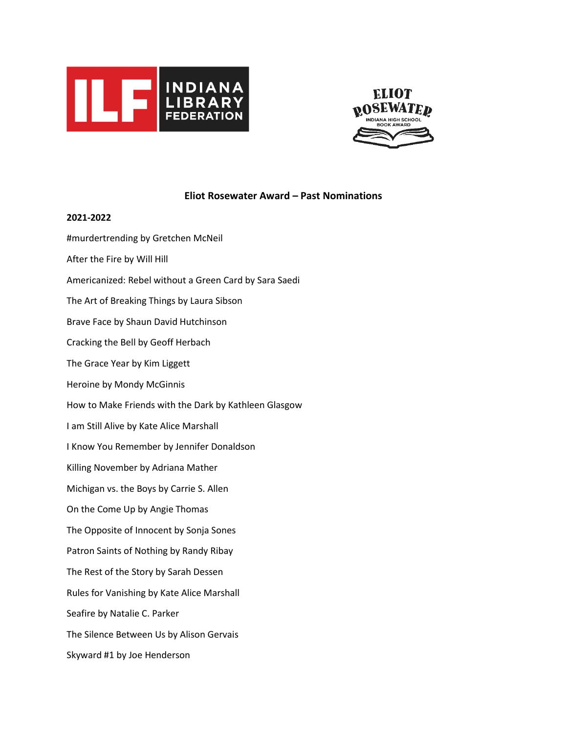

**2021-2022**



# **Eliot Rosewater Award – Past Nominations**

# #murdertrending by Gretchen McNeil After the Fire by Will Hill Americanized: Rebel without a Green Card by Sara Saedi The Art of Breaking Things by Laura Sibson Brave Face by Shaun David Hutchinson Cracking the Bell by Geoff Herbach The Grace Year by Kim Liggett Heroine by Mondy McGinnis How to Make Friends with the Dark by Kathleen Glasgow I am Still Alive by Kate Alice Marshall I Know You Remember by Jennifer Donaldson Killing November by Adriana Mather Michigan vs. the Boys by Carrie S. Allen On the Come Up by Angie Thomas The Opposite of Innocent by Sonja Sones Patron Saints of Nothing by Randy Ribay The Rest of the Story by Sarah Dessen Rules for Vanishing by Kate Alice Marshall Seafire by Natalie C. Parker The Silence Between Us by Alison Gervais Skyward #1 by Joe Henderson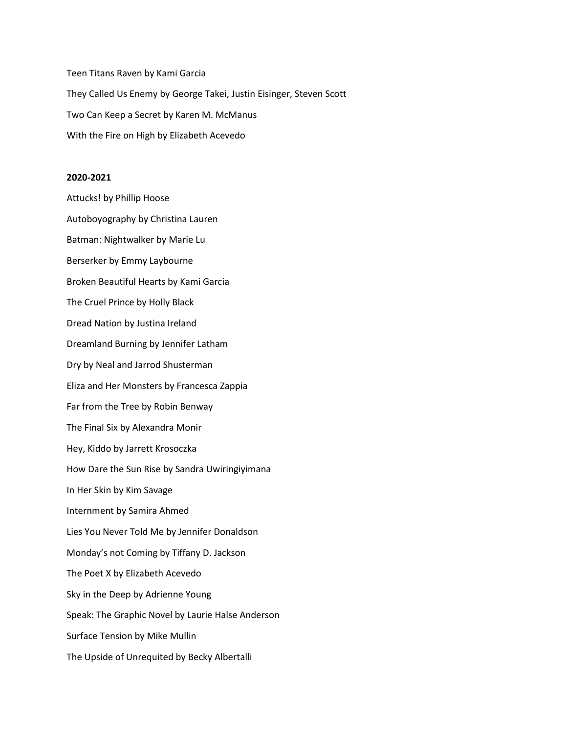Teen Titans Raven by Kami Garcia They Called Us Enemy by George Takei, Justin Eisinger, Steven Scott Two Can Keep a Secret by Karen M. McManus With the Fire on High by Elizabeth Acevedo

#### **2020-2021**

Attucks! by Phillip Hoose Autoboyography by Christina Lauren Batman: Nightwalker by Marie Lu Berserker by Emmy Laybourne Broken Beautiful Hearts by Kami Garcia The Cruel Prince by Holly Black Dread Nation by Justina Ireland Dreamland Burning by Jennifer Latham Dry by Neal and Jarrod Shusterman Eliza and Her Monsters by Francesca Zappia Far from the Tree by Robin Benway The Final Six by Alexandra Monir Hey, Kiddo by Jarrett Krosoczka How Dare the Sun Rise by Sandra Uwiringiyimana In Her Skin by Kim Savage Internment by Samira Ahmed Lies You Never Told Me by Jennifer Donaldson Monday's not Coming by Tiffany D. Jackson The Poet X by Elizabeth Acevedo Sky in the Deep by Adrienne Young Speak: The Graphic Novel by Laurie Halse Anderson Surface Tension by Mike Mullin The Upside of Unrequited by Becky Albertalli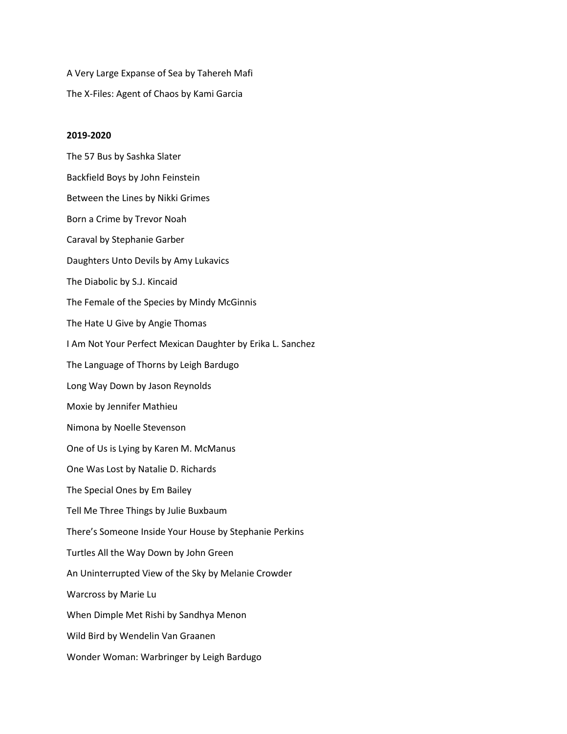A Very Large Expanse of Sea by Tahereh Mafi The X-Files: Agent of Chaos by Kami Garcia

#### **2019-2020**

The 57 Bus by Sashka Slater Backfield Boys by John Feinstein Between the Lines by Nikki Grimes Born a Crime by Trevor Noah Caraval by Stephanie Garber Daughters Unto Devils by Amy Lukavics The Diabolic by S.J. Kincaid The Female of the Species by Mindy McGinnis The Hate U Give by Angie Thomas I Am Not Your Perfect Mexican Daughter by Erika L. Sanchez The Language of Thorns by Leigh Bardugo Long Way Down by Jason Reynolds Moxie by Jennifer Mathieu Nimona by Noelle Stevenson One of Us is Lying by Karen M. McManus One Was Lost by Natalie D. Richards The Special Ones by Em Bailey Tell Me Three Things by Julie Buxbaum There's Someone Inside Your House by Stephanie Perkins Turtles All the Way Down by John Green An Uninterrupted View of the Sky by Melanie Crowder Warcross by Marie Lu When Dimple Met Rishi by Sandhya Menon Wild Bird by Wendelin Van Graanen Wonder Woman: Warbringer by Leigh Bardugo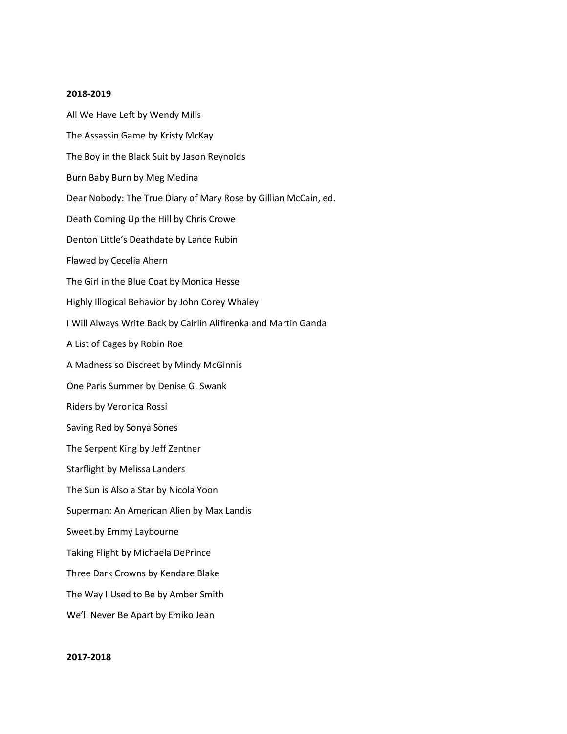## **2018-2019**

All We Have Left by Wendy Mills The Assassin Game by Kristy McKay The Boy in the Black Suit by Jason Reynolds Burn Baby Burn by Meg Medina Dear Nobody: The True Diary of Mary Rose by Gillian McCain, ed. Death Coming Up the Hill by Chris Crowe Denton Little's Deathdate by Lance Rubin Flawed by Cecelia Ahern The Girl in the Blue Coat by Monica Hesse Highly Illogical Behavior by John Corey Whaley I Will Always Write Back by Cairlin Alifirenka and Martin Ganda A List of Cages by Robin Roe A Madness so Discreet by Mindy McGinnis One Paris Summer by Denise G. Swank Riders by Veronica Rossi Saving Red by Sonya Sones The Serpent King by Jeff Zentner Starflight by Melissa Landers The Sun is Also a Star by Nicola Yoon Superman: An American Alien by Max Landis Sweet by Emmy Laybourne Taking Flight by Michaela DePrince Three Dark Crowns by Kendare Blake The Way I Used to Be by Amber Smith We'll Never Be Apart by Emiko Jean

# **2017-2018**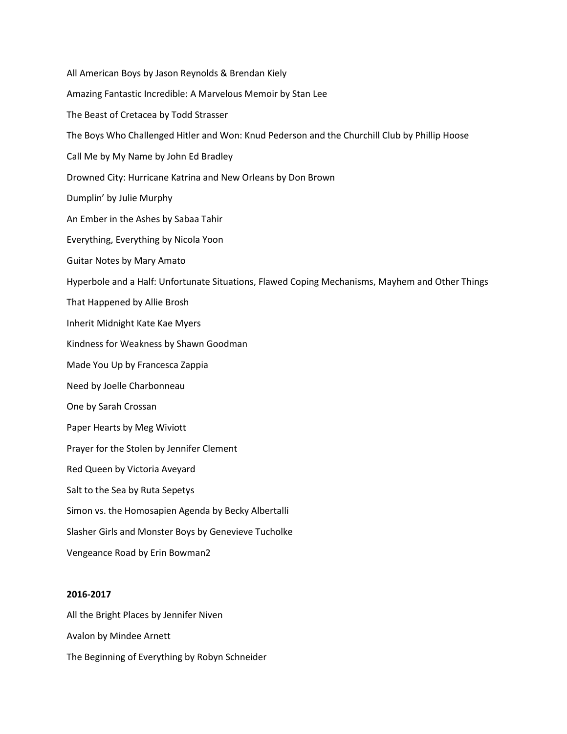All American Boys by Jason Reynolds & Brendan Kiely Amazing Fantastic Incredible: A Marvelous Memoir by Stan Lee The Beast of Cretacea by Todd Strasser The Boys Who Challenged Hitler and Won: Knud Pederson and the Churchill Club by Phillip Hoose Call Me by My Name by John Ed Bradley Drowned City: Hurricane Katrina and New Orleans by Don Brown Dumplin' by Julie Murphy An Ember in the Ashes by Sabaa Tahir Everything, Everything by Nicola Yoon Guitar Notes by Mary Amato Hyperbole and a Half: Unfortunate Situations, Flawed Coping Mechanisms, Mayhem and Other Things That Happened by Allie Brosh Inherit Midnight Kate Kae Myers Kindness for Weakness by Shawn Goodman Made You Up by Francesca Zappia Need by Joelle Charbonneau One by Sarah Crossan Paper Hearts by Meg Wiviott Prayer for the Stolen by Jennifer Clement Red Queen by Victoria Aveyard Salt to the Sea by Ruta Sepetys Simon vs. the Homosapien Agenda by Becky Albertalli Slasher Girls and Monster Boys by Genevieve Tucholke Vengeance Road by Erin Bowman2

# **2016-2017**

All the Bright Places by Jennifer Niven Avalon by Mindee Arnett The Beginning of Everything by Robyn Schneider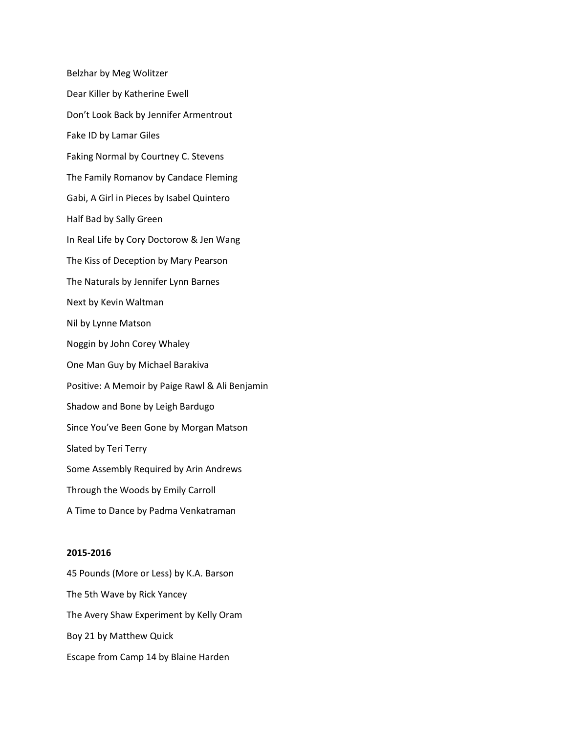Belzhar by Meg Wolitzer Dear Killer by Katherine Ewell Don't Look Back by Jennifer Armentrout Fake ID by Lamar Giles Faking Normal by Courtney C. Stevens The Family Romanov by Candace Fleming Gabi, A Girl in Pieces by Isabel Quintero Half Bad by Sally Green In Real Life by Cory Doctorow & Jen Wang The Kiss of Deception by Mary Pearson The Naturals by Jennifer Lynn Barnes Next by Kevin Waltman Nil by Lynne Matson Noggin by John Corey Whaley One Man Guy by Michael Barakiva Positive: A Memoir by Paige Rawl & Ali Benjamin Shadow and Bone by Leigh Bardugo Since You've Been Gone by Morgan Matson Slated by Teri Terry Some Assembly Required by Arin Andrews Through the Woods by Emily Carroll A Time to Dance by Padma Venkatraman

## **2015-2016**

45 Pounds (More or Less) by K.A. Barson The 5th Wave by Rick Yancey The Avery Shaw Experiment by Kelly Oram Boy 21 by Matthew Quick Escape from Camp 14 by Blaine Harden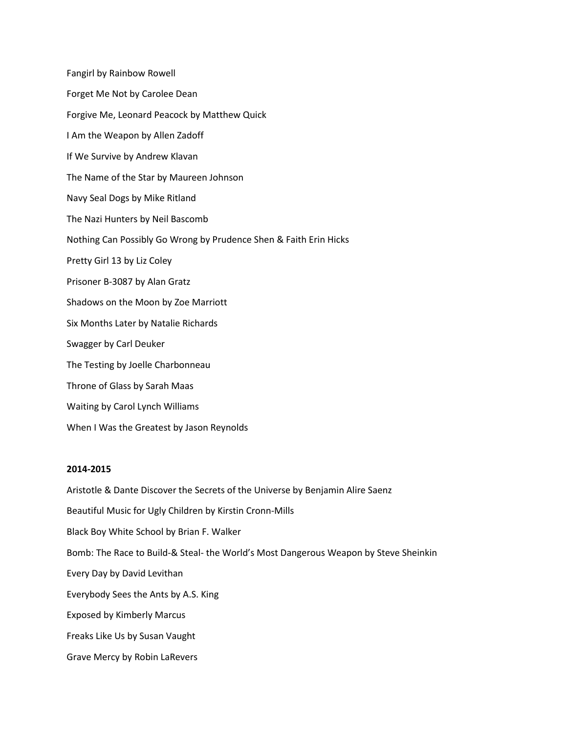Fangirl by Rainbow Rowell Forget Me Not by Carolee Dean Forgive Me, Leonard Peacock by Matthew Quick I Am the Weapon by Allen Zadoff If We Survive by Andrew Klavan The Name of the Star by Maureen Johnson Navy Seal Dogs by Mike Ritland The Nazi Hunters by Neil Bascomb Nothing Can Possibly Go Wrong by Prudence Shen & Faith Erin Hicks Pretty Girl 13 by Liz Coley Prisoner B-3087 by Alan Gratz Shadows on the Moon by Zoe Marriott Six Months Later by Natalie Richards Swagger by Carl Deuker The Testing by Joelle Charbonneau Throne of Glass by Sarah Maas Waiting by Carol Lynch Williams When I Was the Greatest by Jason Reynolds

## **2014-2015**

Aristotle & Dante Discover the Secrets of the Universe by Benjamin Alire Saenz Beautiful Music for Ugly Children by Kirstin Cronn-Mills Black Boy White School by Brian F. Walker Bomb: The Race to Build-& Steal- the World's Most Dangerous Weapon by Steve Sheinkin Every Day by David Levithan Everybody Sees the Ants by A.S. King Exposed by Kimberly Marcus Freaks Like Us by Susan Vaught Grave Mercy by Robin LaRevers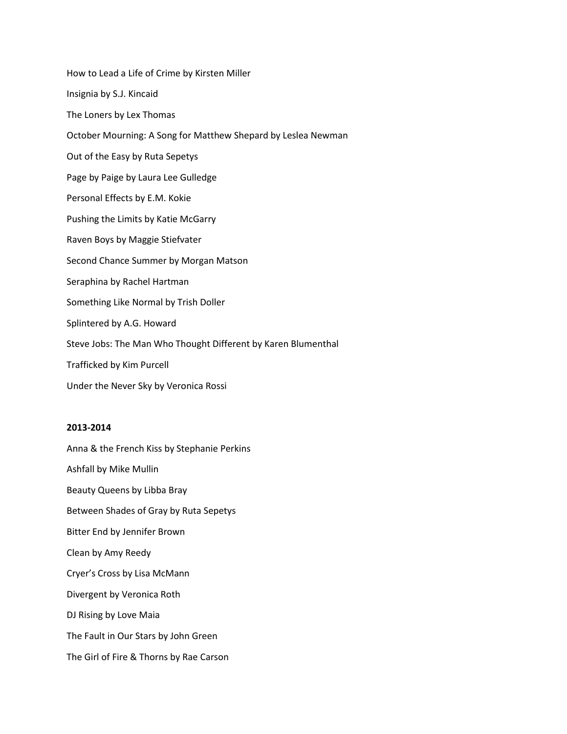How to Lead a Life of Crime by Kirsten Miller Insignia by S.J. Kincaid The Loners by Lex Thomas October Mourning: A Song for Matthew Shepard by Leslea Newman Out of the Easy by Ruta Sepetys Page by Paige by Laura Lee Gulledge Personal Effects by E.M. Kokie Pushing the Limits by Katie McGarry Raven Boys by Maggie Stiefvater Second Chance Summer by Morgan Matson Seraphina by Rachel Hartman Something Like Normal by Trish Doller Splintered by A.G. Howard Steve Jobs: The Man Who Thought Different by Karen Blumenthal Trafficked by Kim Purcell Under the Never Sky by Veronica Rossi

# **2013-2014**

Anna & the French Kiss by Stephanie Perkins Ashfall by Mike Mullin Beauty Queens by Libba Bray Between Shades of Gray by Ruta Sepetys Bitter End by Jennifer Brown Clean by Amy Reedy Cryer's Cross by Lisa McMann Divergent by Veronica Roth DJ Rising by Love Maia The Fault in Our Stars by John Green The Girl of Fire & Thorns by Rae Carson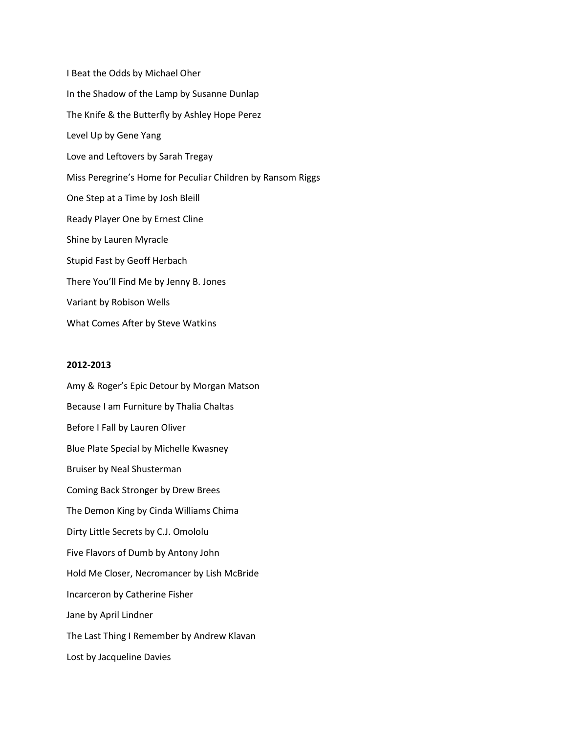I Beat the Odds by Michael Oher In the Shadow of the Lamp by Susanne Dunlap The Knife & the Butterfly by Ashley Hope Perez Level Up by Gene Yang Love and Leftovers by Sarah Tregay Miss Peregrine's Home for Peculiar Children by Ransom Riggs One Step at a Time by Josh Bleill Ready Player One by Ernest Cline Shine by Lauren Myracle Stupid Fast by Geoff Herbach There You'll Find Me by Jenny B. Jones Variant by Robison Wells What Comes After by Steve Watkins

#### **2012-2013**

Amy & Roger's Epic Detour by Morgan Matson Because I am Furniture by Thalia Chaltas Before I Fall by Lauren Oliver Blue Plate Special by Michelle Kwasney Bruiser by Neal Shusterman Coming Back Stronger by Drew Brees The Demon King by Cinda Williams Chima Dirty Little Secrets by C.J. Omololu Five Flavors of Dumb by Antony John Hold Me Closer, Necromancer by Lish McBride Incarceron by Catherine Fisher Jane by April Lindner The Last Thing I Remember by Andrew Klavan Lost by Jacqueline Davies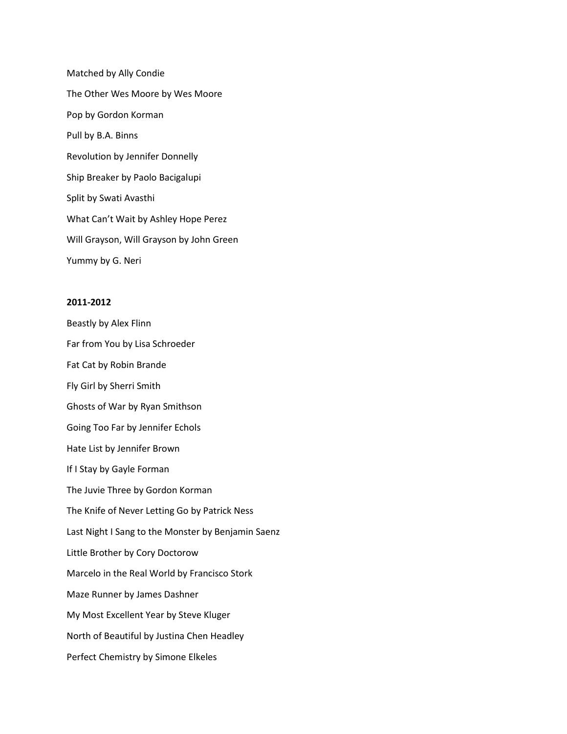Matched by Ally Condie The Other Wes Moore by Wes Moore Pop by Gordon Korman Pull by B.A. Binns Revolution by Jennifer Donnelly Ship Breaker by Paolo Bacigalupi Split by Swati Avasthi What Can't Wait by Ashley Hope Perez Will Grayson, Will Grayson by John Green Yummy by G. Neri

## **2011-2012**

Beastly by Alex Flinn Far from You by Lisa Schroeder Fat Cat by Robin Brande Fly Girl by Sherri Smith Ghosts of War by Ryan Smithson Going Too Far by Jennifer Echols Hate List by Jennifer Brown If I Stay by Gayle Forman The Juvie Three by Gordon Korman The Knife of Never Letting Go by Patrick Ness Last Night I Sang to the Monster by Benjamin Saenz Little Brother by Cory Doctorow Marcelo in the Real World by Francisco Stork Maze Runner by James Dashner My Most Excellent Year by Steve Kluger North of Beautiful by Justina Chen Headley Perfect Chemistry by Simone Elkeles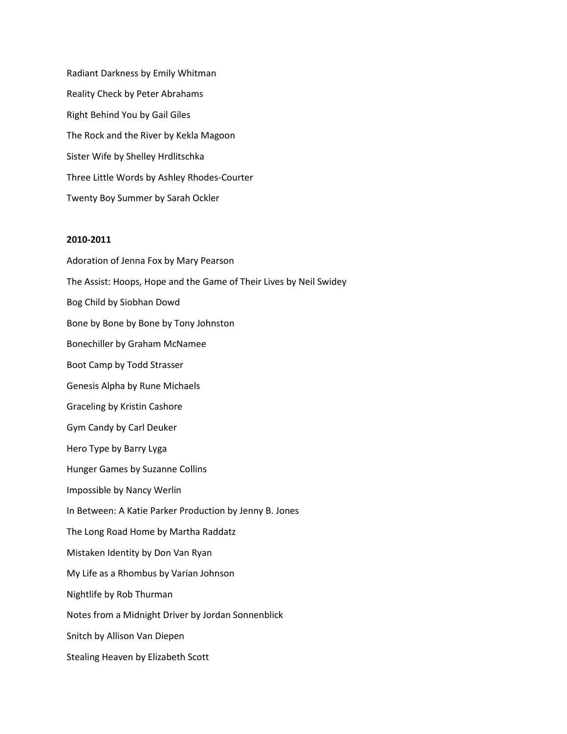Radiant Darkness by Emily Whitman Reality Check by Peter Abrahams Right Behind You by Gail Giles The Rock and the River by Kekla Magoon Sister Wife by Shelley Hrdlitschka Three Little Words by Ashley Rhodes-Courter Twenty Boy Summer by Sarah Ockler

# **2010-2011**

Adoration of Jenna Fox by Mary Pearson The Assist: Hoops, Hope and the Game of Their Lives by Neil Swidey Bog Child by Siobhan Dowd Bone by Bone by Bone by Tony Johnston Bonechiller by Graham McNamee Boot Camp by Todd Strasser Genesis Alpha by Rune Michaels Graceling by Kristin Cashore Gym Candy by Carl Deuker Hero Type by Barry Lyga Hunger Games by Suzanne Collins Impossible by Nancy Werlin In Between: A Katie Parker Production by Jenny B. Jones The Long Road Home by Martha Raddatz Mistaken Identity by Don Van Ryan My Life as a Rhombus by Varian Johnson Nightlife by Rob Thurman Notes from a Midnight Driver by Jordan Sonnenblick Snitch by Allison Van Diepen Stealing Heaven by Elizabeth Scott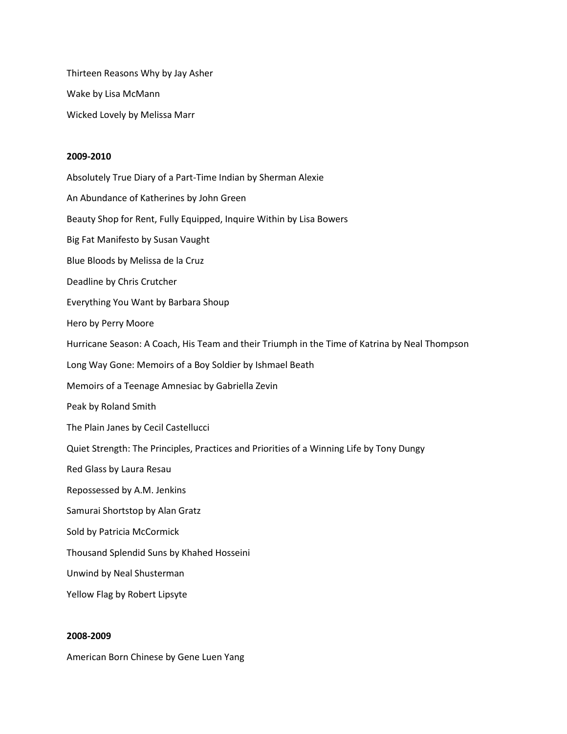Thirteen Reasons Why by Jay Asher Wake by Lisa McMann Wicked Lovely by Melissa Marr

#### **2009-2010**

Absolutely True Diary of a Part-Time Indian by Sherman Alexie An Abundance of Katherines by John Green Beauty Shop for Rent, Fully Equipped, Inquire Within by Lisa Bowers Big Fat Manifesto by Susan Vaught Blue Bloods by Melissa de la Cruz Deadline by Chris Crutcher Everything You Want by Barbara Shoup Hero by Perry Moore Hurricane Season: A Coach, His Team and their Triumph in the Time of Katrina by Neal Thompson Long Way Gone: Memoirs of a Boy Soldier by Ishmael Beath Memoirs of a Teenage Amnesiac by Gabriella Zevin Peak by Roland Smith The Plain Janes by Cecil Castellucci Quiet Strength: The Principles, Practices and Priorities of a Winning Life by Tony Dungy Red Glass by Laura Resau Repossessed by A.M. Jenkins Samurai Shortstop by Alan Gratz Sold by Patricia McCormick Thousand Splendid Suns by Khahed Hosseini Unwind by Neal Shusterman Yellow Flag by Robert Lipsyte

## **2008-2009**

American Born Chinese by Gene Luen Yang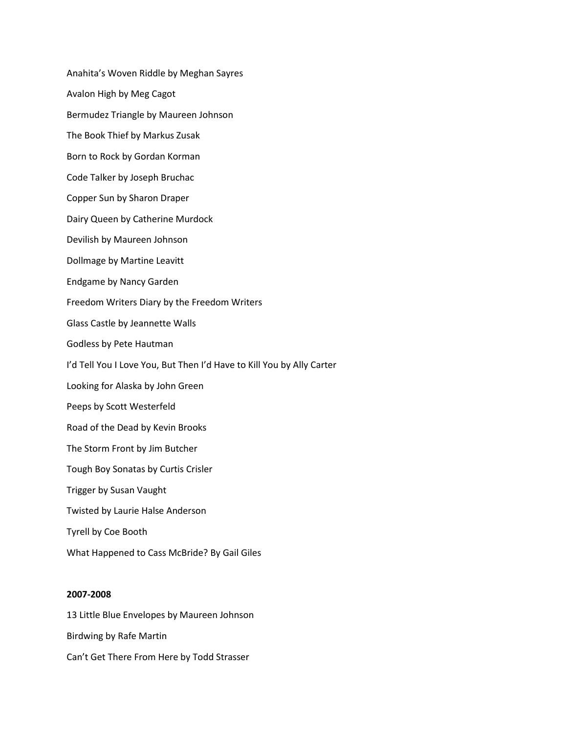Anahita's Woven Riddle by Meghan Sayres Avalon High by Meg Cagot Bermudez Triangle by Maureen Johnson The Book Thief by Markus Zusak Born to Rock by Gordan Korman Code Talker by Joseph Bruchac Copper Sun by Sharon Draper Dairy Queen by Catherine Murdock Devilish by Maureen Johnson Dollmage by Martine Leavitt Endgame by Nancy Garden Freedom Writers Diary by the Freedom Writers Glass Castle by Jeannette Walls Godless by Pete Hautman I'd Tell You I Love You, But Then I'd Have to Kill You by Ally Carter Looking for Alaska by John Green Peeps by Scott Westerfeld Road of the Dead by Kevin Brooks The Storm Front by Jim Butcher Tough Boy Sonatas by Curtis Crisler Trigger by Susan Vaught Twisted by Laurie Halse Anderson Tyrell by Coe Booth What Happened to Cass McBride? By Gail Giles

## **2007-2008**

13 Little Blue Envelopes by Maureen Johnson Birdwing by Rafe Martin Can't Get There From Here by Todd Strasser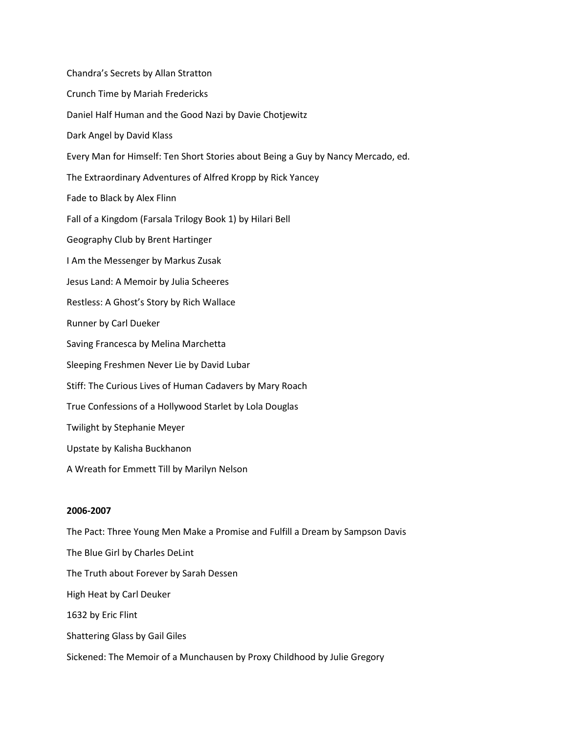Chandra's Secrets by Allan Stratton Crunch Time by Mariah Fredericks Daniel Half Human and the Good Nazi by Davie Chotjewitz Dark Angel by David Klass Every Man for Himself: Ten Short Stories about Being a Guy by Nancy Mercado, ed. The Extraordinary Adventures of Alfred Kropp by Rick Yancey Fade to Black by Alex Flinn Fall of a Kingdom (Farsala Trilogy Book 1) by Hilari Bell Geography Club by Brent Hartinger I Am the Messenger by Markus Zusak Jesus Land: A Memoir by Julia Scheeres Restless: A Ghost's Story by Rich Wallace Runner by Carl Dueker Saving Francesca by Melina Marchetta Sleeping Freshmen Never Lie by David Lubar Stiff: The Curious Lives of Human Cadavers by Mary Roach True Confessions of a Hollywood Starlet by Lola Douglas Twilight by Stephanie Meyer Upstate by Kalisha Buckhanon A Wreath for Emmett Till by Marilyn Nelson

## **2006-2007**

The Pact: Three Young Men Make a Promise and Fulfill a Dream by Sampson Davis The Blue Girl by Charles DeLint The Truth about Forever by Sarah Dessen High Heat by Carl Deuker 1632 by Eric Flint Shattering Glass by Gail Giles Sickened: The Memoir of a Munchausen by Proxy Childhood by Julie Gregory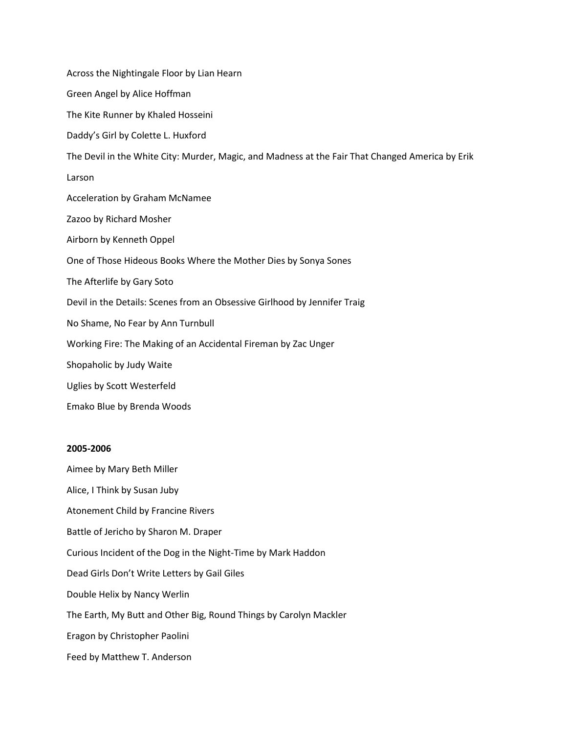Across the Nightingale Floor by Lian Hearn Green Angel by Alice Hoffman The Kite Runner by Khaled Hosseini Daddy's Girl by Colette L. Huxford The Devil in the White City: Murder, Magic, and Madness at the Fair That Changed America by Erik Larson Acceleration by Graham McNamee Zazoo by Richard Mosher Airborn by Kenneth Oppel One of Those Hideous Books Where the Mother Dies by Sonya Sones The Afterlife by Gary Soto Devil in the Details: Scenes from an Obsessive Girlhood by Jennifer Traig No Shame, No Fear by Ann Turnbull Working Fire: The Making of an Accidental Fireman by Zac Unger Shopaholic by Judy Waite Uglies by Scott Westerfeld Emako Blue by Brenda Woods

# **2005-2006**

Aimee by Mary Beth Miller Alice, I Think by Susan Juby Atonement Child by Francine Rivers Battle of Jericho by Sharon M. Draper Curious Incident of the Dog in the Night-Time by Mark Haddon Dead Girls Don't Write Letters by Gail Giles Double Helix by Nancy Werlin The Earth, My Butt and Other Big, Round Things by Carolyn Mackler Eragon by Christopher Paolini Feed by Matthew T. Anderson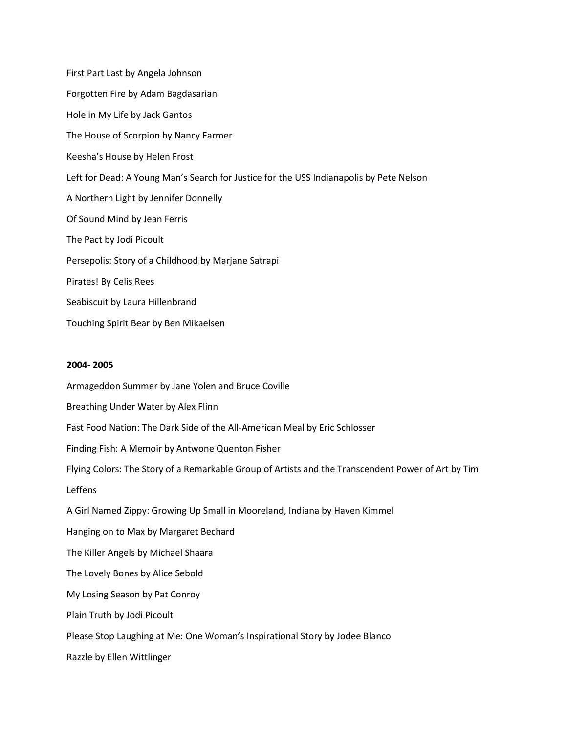First Part Last by Angela Johnson Forgotten Fire by Adam Bagdasarian Hole in My Life by Jack Gantos The House of Scorpion by Nancy Farmer Keesha's House by Helen Frost Left for Dead: A Young Man's Search for Justice for the USS Indianapolis by Pete Nelson A Northern Light by Jennifer Donnelly Of Sound Mind by Jean Ferris The Pact by Jodi Picoult Persepolis: Story of a Childhood by Marjane Satrapi Pirates! By Celis Rees Seabiscuit by Laura Hillenbrand Touching Spirit Bear by Ben Mikaelsen

#### **2004- 2005**

Armageddon Summer by Jane Yolen and Bruce Coville Breathing Under Water by Alex Flinn Fast Food Nation: The Dark Side of the All-American Meal by Eric Schlosser Finding Fish: A Memoir by Antwone Quenton Fisher Flying Colors: The Story of a Remarkable Group of Artists and the Transcendent Power of Art by Tim Leffens A Girl Named Zippy: Growing Up Small in Mooreland, Indiana by Haven Kimmel Hanging on to Max by Margaret Bechard The Killer Angels by Michael Shaara The Lovely Bones by Alice Sebold My Losing Season by Pat Conroy Plain Truth by Jodi Picoult Please Stop Laughing at Me: One Woman's Inspirational Story by Jodee Blanco Razzle by Ellen Wittlinger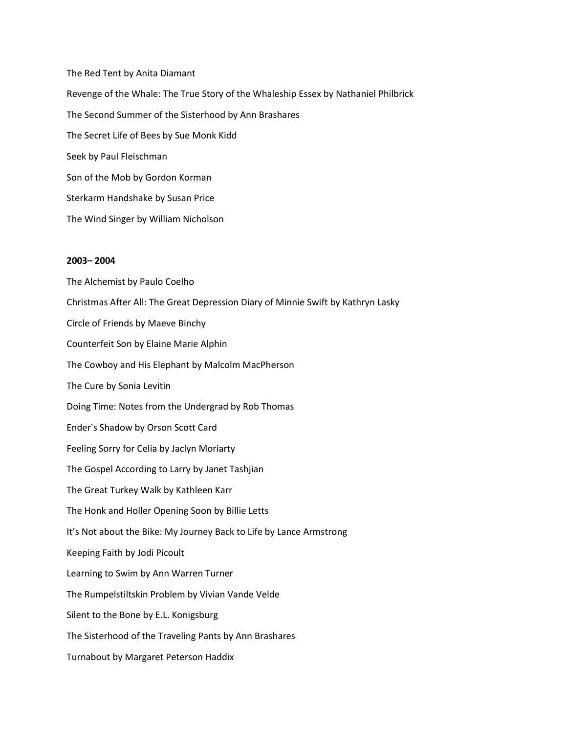The Red Tent by Anita Diamant Revenge of the Whale: The True Story of the Whaleship Essex by Nathaniel Philbrick The Second Summer of the Sisterhood by Ann Brashares The Secret Life of Bees by Sue Monk Kidd Seek by Paul Fleischman Son of the Mob by Gordon Korman Sterkarm Handshake by Susan Price The Wind Singer by William Nicholson

# **2003– 2004**

The Alchemist by Paulo Coelho Christmas After All: The Great Depression Diary of Minnie Swift by Kathryn Lasky Circle of Friends by Maeve Binchy Counterfeit Son by Elaine Marie Alphin The Cowboy and His Elephant by Malcolm MacPherson The Cure by Sonia Levitin Doing Time: Notes from the Undergrad by Rob Thomas Ender's Shadow by Orson Scott Card Feeling Sorry for Celia by Jaclyn Moriarty The Gospel According to Larry by Janet Tashjian The Great Turkey Walk by Kathleen Karr The Honk and Holler Opening Soon by Billie Letts It's Not about the Bike: My Journey Back to Life by Lance Armstrong Keeping Faith by Jodi Picoult Learning to Swim by Ann Warren Turner The Rumpelstiltskin Problem by Vivian Vande Velde Silent to the Bone by E.L. Konigsburg The Sisterhood of the Traveling Pants by Ann Brashares Turnabout by Margaret Peterson Haddix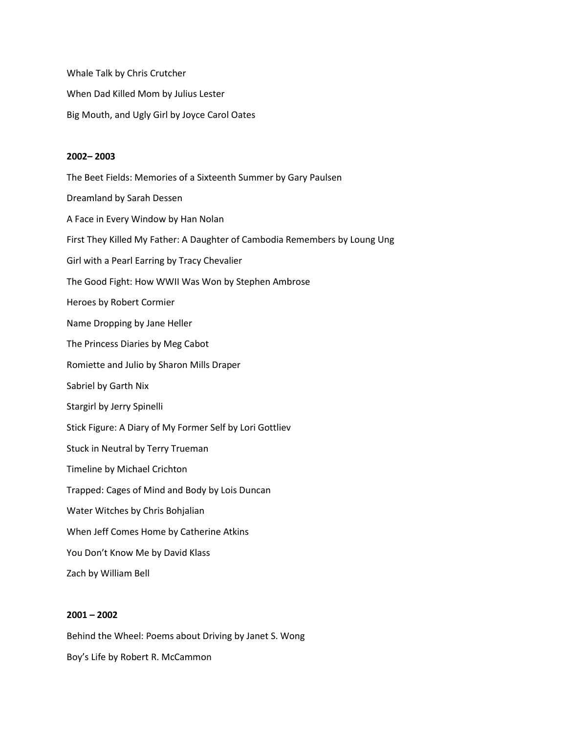Whale Talk by Chris Crutcher When Dad Killed Mom by Julius Lester Big Mouth, and Ugly Girl by Joyce Carol Oates

#### **2002– 2003**

The Beet Fields: Memories of a Sixteenth Summer by Gary Paulsen Dreamland by Sarah Dessen A Face in Every Window by Han Nolan First They Killed My Father: A Daughter of Cambodia Remembers by Loung Ung Girl with a Pearl Earring by Tracy Chevalier The Good Fight: How WWII Was Won by Stephen Ambrose Heroes by Robert Cormier Name Dropping by Jane Heller The Princess Diaries by Meg Cabot Romiette and Julio by Sharon Mills Draper Sabriel by Garth Nix Stargirl by Jerry Spinelli Stick Figure: A Diary of My Former Self by Lori Gottliev Stuck in Neutral by Terry Trueman Timeline by Michael Crichton Trapped: Cages of Mind and Body by Lois Duncan Water Witches by Chris Bohjalian When Jeff Comes Home by Catherine Atkins You Don't Know Me by David Klass Zach by William Bell

#### **2001 – 2002**

Behind the Wheel: Poems about Driving by Janet S. Wong Boy's Life by Robert R. McCammon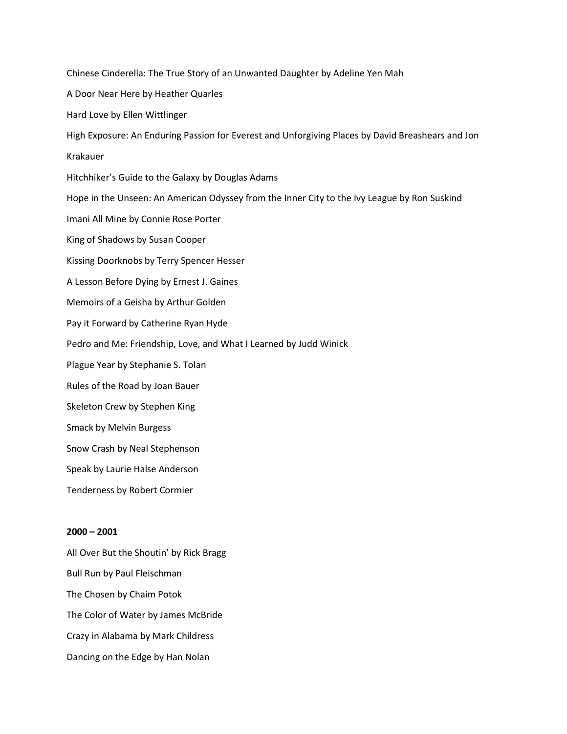Chinese Cinderella: The True Story of an Unwanted Daughter by Adeline Yen Mah A Door Near Here by Heather Quarles Hard Love by Ellen Wittlinger High Exposure: An Enduring Passion for Everest and Unforgiving Places by David Breashears and Jon Krakauer Hitchhiker's Guide to the Galaxy by Douglas Adams Hope in the Unseen: An American Odyssey from the Inner City to the Ivy League by Ron Suskind Imani All Mine by Connie Rose Porter King of Shadows by Susan Cooper Kissing Doorknobs by Terry Spencer Hesser A Lesson Before Dying by Ernest J. Gaines Memoirs of a Geisha by Arthur Golden Pay it Forward by Catherine Ryan Hyde Pedro and Me: Friendship, Love, and What I Learned by Judd Winick Plague Year by Stephanie S. Tolan Rules of the Road by Joan Bauer Skeleton Crew by Stephen King Smack by Melvin Burgess Snow Crash by Neal Stephenson Speak by Laurie Halse Anderson Tenderness by Robert Cormier

# **2000 – 2001**

All Over But the Shoutin' by Rick Bragg Bull Run by Paul Fleischman The Chosen by Chaim Potok The Color of Water by James McBride Crazy in Alabama by Mark Childress Dancing on the Edge by Han Nolan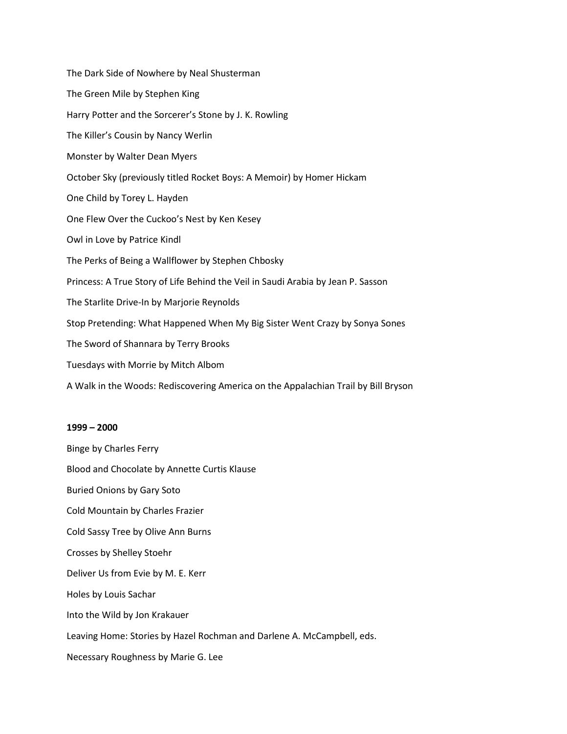The Dark Side of Nowhere by Neal Shusterman The Green Mile by Stephen King Harry Potter and the Sorcerer's Stone by J. K. Rowling The Killer's Cousin by Nancy Werlin Monster by Walter Dean Myers October Sky (previously titled Rocket Boys: A Memoir) by Homer Hickam One Child by Torey L. Hayden One Flew Over the Cuckoo's Nest by Ken Kesey Owl in Love by Patrice Kindl The Perks of Being a Wallflower by Stephen Chbosky Princess: A True Story of Life Behind the Veil in Saudi Arabia by Jean P. Sasson The Starlite Drive-In by Marjorie Reynolds Stop Pretending: What Happened When My Big Sister Went Crazy by Sonya Sones The Sword of Shannara by Terry Brooks Tuesdays with Morrie by Mitch Albom A Walk in the Woods: Rediscovering America on the Appalachian Trail by Bill Bryson

# **1999 – 2000**

Binge by Charles Ferry Blood and Chocolate by Annette Curtis Klause Buried Onions by Gary Soto Cold Mountain by Charles Frazier Cold Sassy Tree by Olive Ann Burns Crosses by Shelley Stoehr Deliver Us from Evie by M. E. Kerr Holes by Louis Sachar Into the Wild by Jon Krakauer Leaving Home: Stories by Hazel Rochman and Darlene A. McCampbell, eds. Necessary Roughness by Marie G. Lee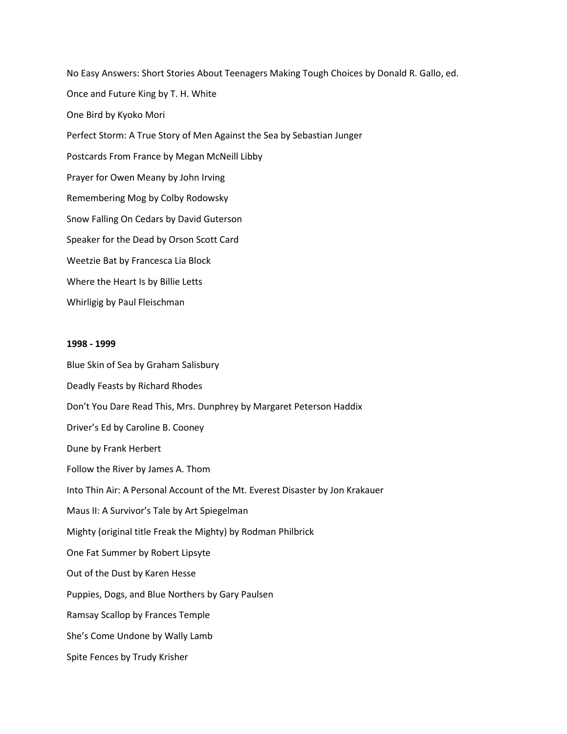No Easy Answers: Short Stories About Teenagers Making Tough Choices by Donald R. Gallo, ed. Once and Future King by T. H. White One Bird by Kyoko Mori Perfect Storm: A True Story of Men Against the Sea by Sebastian Junger Postcards From France by Megan McNeill Libby Prayer for Owen Meany by John Irving Remembering Mog by Colby Rodowsky Snow Falling On Cedars by David Guterson Speaker for the Dead by Orson Scott Card Weetzie Bat by Francesca Lia Block Where the Heart Is by Billie Letts Whirligig by Paul Fleischman

#### **1998 - 1999**

Blue Skin of Sea by Graham Salisbury Deadly Feasts by Richard Rhodes Don't You Dare Read This, Mrs. Dunphrey by Margaret Peterson Haddix Driver's Ed by Caroline B. Cooney Dune by Frank Herbert Follow the River by James A. Thom Into Thin Air: A Personal Account of the Mt. Everest Disaster by Jon Krakauer Maus II: A Survivor's Tale by Art Spiegelman Mighty (original title Freak the Mighty) by Rodman Philbrick One Fat Summer by Robert Lipsyte Out of the Dust by Karen Hesse Puppies, Dogs, and Blue Northers by Gary Paulsen Ramsay Scallop by Frances Temple She's Come Undone by Wally Lamb Spite Fences by Trudy Krisher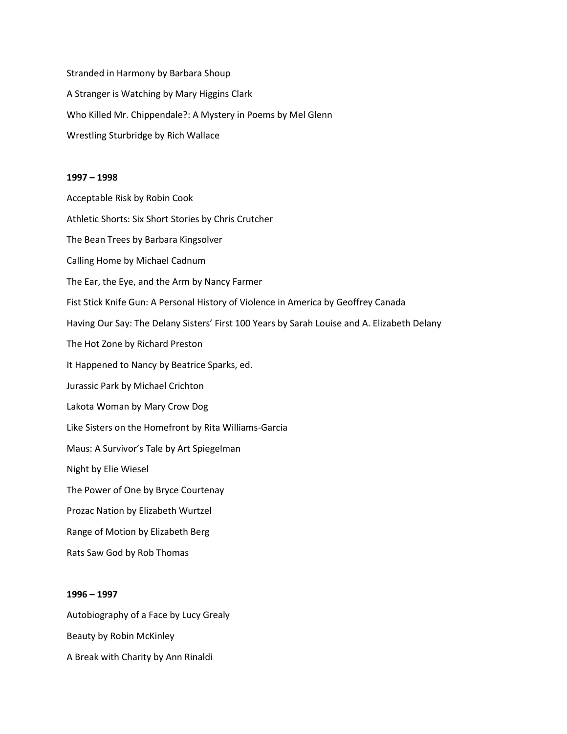Stranded in Harmony by Barbara Shoup A Stranger is Watching by Mary Higgins Clark Who Killed Mr. Chippendale?: A Mystery in Poems by Mel Glenn Wrestling Sturbridge by Rich Wallace

#### **1997 – 1998**

Acceptable Risk by Robin Cook Athletic Shorts: Six Short Stories by Chris Crutcher The Bean Trees by Barbara Kingsolver Calling Home by Michael Cadnum The Ear, the Eye, and the Arm by Nancy Farmer Fist Stick Knife Gun: A Personal History of Violence in America by Geoffrey Canada Having Our Say: The Delany Sisters' First 100 Years by Sarah Louise and A. Elizabeth Delany The Hot Zone by Richard Preston It Happened to Nancy by Beatrice Sparks, ed. Jurassic Park by Michael Crichton Lakota Woman by Mary Crow Dog Like Sisters on the Homefront by Rita Williams-Garcia Maus: A Survivor's Tale by Art Spiegelman Night by Elie Wiesel The Power of One by Bryce Courtenay Prozac Nation by Elizabeth Wurtzel Range of Motion by Elizabeth Berg Rats Saw God by Rob Thomas

## **1996 – 1997**

Autobiography of a Face by Lucy Grealy Beauty by Robin McKinley A Break with Charity by Ann Rinaldi